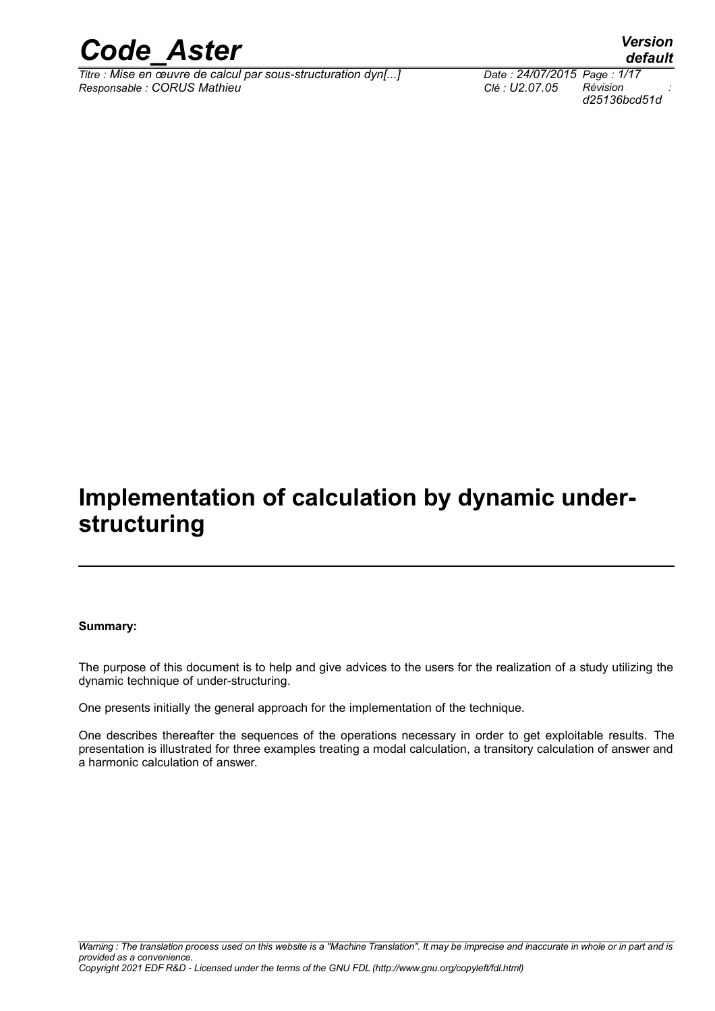

*Titre : Mise en œuvre de calcul par sous-structuration dyn[...] Date : 24/07/2015 Page : 1/17 Responsable : CORUS Mathieu Clé : U2.07.05 Révision :*

*default d25136bcd51d*

### **Implementation of calculation by dynamic understructuring**

#### **Summary:**

The purpose of this document is to help and give advices to the users for the realization of a study utilizing the dynamic technique of under-structuring.

One presents initially the general approach for the implementation of the technique.

One describes thereafter the sequences of the operations necessary in order to get exploitable results. The presentation is illustrated for three examples treating a modal calculation, a transitory calculation of answer and a harmonic calculation of answer.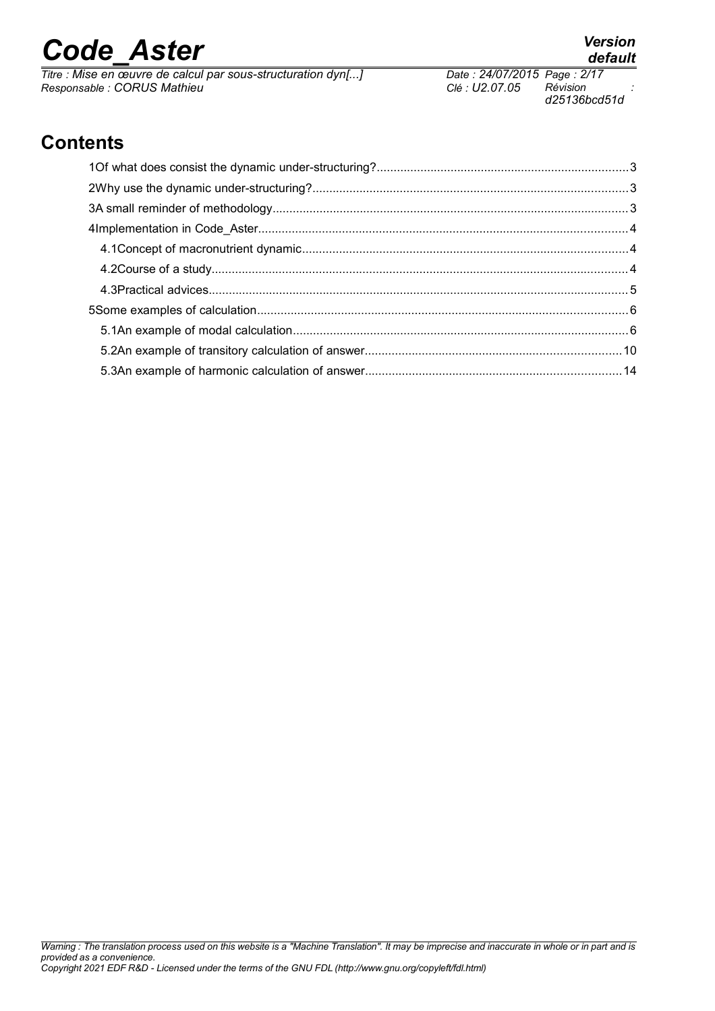*Titre : Mise en œuvre de calcul par sous-structuration dyn[...] Date : 24/07/2015 Page : 2/17 Responsable : CORUS Mathieu Clé : U2.07.05 Révision :*

### **Contents**

*provided as a convenience.*

*Copyright 2021 EDF R&D - Licensed under the terms of the GNU FDL (http://www.gnu.org/copyleft/fdl.html)*

*d25136bcd51d*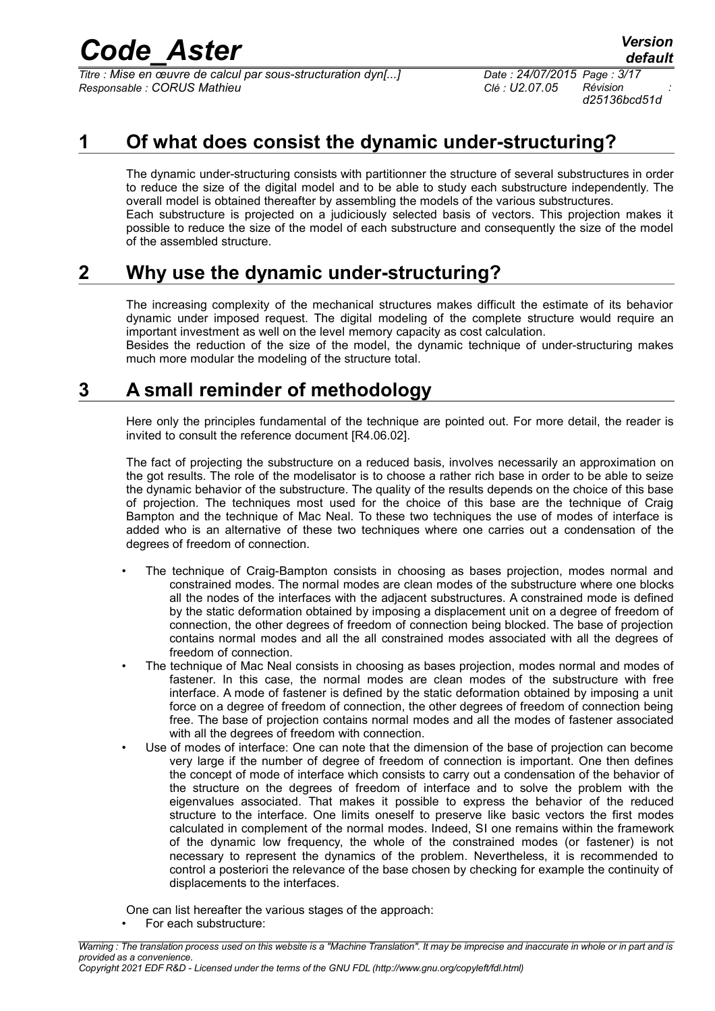*Titre : Mise en œuvre de calcul par sous-structuration dyn[...] Date : 24/07/2015 Page : 3/17 Responsable : CORUS Mathieu Clé : U2.07.05 Révision :*

*d25136bcd51d*

#### **1 Of what does consist the dynamic under-structuring?**

The dynamic under-structuring consists with partitionner the structure of several substructures in order to reduce the size of the digital model and to be able to study each substructure independently. The overall model is obtained thereafter by assembling the models of the various substructures. Each substructure is projected on a judiciously selected basis of vectors. This projection makes it possible to reduce the size of the model of each substructure and consequently the size of the model of the assembled structure.

#### **2 Why use the dynamic under-structuring?**

The increasing complexity of the mechanical structures makes difficult the estimate of its behavior dynamic under imposed request. The digital modeling of the complete structure would require an important investment as well on the level memory capacity as cost calculation.

Besides the reduction of the size of the model, the dynamic technique of under-structuring makes much more modular the modeling of the structure total.

#### **3 A small reminder of methodology**

Here only the principles fundamental of the technique are pointed out. For more detail, the reader is invited to consult the reference document [R4.06.02].

The fact of projecting the substructure on a reduced basis, involves necessarily an approximation on the got results. The role of the modelisator is to choose a rather rich base in order to be able to seize the dynamic behavior of the substructure. The quality of the results depends on the choice of this base of projection. The techniques most used for the choice of this base are the technique of Craig Bampton and the technique of Mac Neal. To these two techniques the use of modes of interface is added who is an alternative of these two techniques where one carries out a condensation of the degrees of freedom of connection.

- The technique of Craig-Bampton consists in choosing as bases projection, modes normal and constrained modes. The normal modes are clean modes of the substructure where one blocks all the nodes of the interfaces with the adjacent substructures. A constrained mode is defined by the static deformation obtained by imposing a displacement unit on a degree of freedom of connection, the other degrees of freedom of connection being blocked. The base of projection contains normal modes and all the all constrained modes associated with all the degrees of freedom of connection.
- The technique of Mac Neal consists in choosing as bases projection, modes normal and modes of fastener. In this case, the normal modes are clean modes of the substructure with free interface. A mode of fastener is defined by the static deformation obtained by imposing a unit force on a degree of freedom of connection, the other degrees of freedom of connection being free. The base of projection contains normal modes and all the modes of fastener associated with all the degrees of freedom with connection.
- Use of modes of interface: One can note that the dimension of the base of projection can become very large if the number of degree of freedom of connection is important. One then defines the concept of mode of interface which consists to carry out a condensation of the behavior of the structure on the degrees of freedom of interface and to solve the problem with the eigenvalues associated. That makes it possible to express the behavior of the reduced structure to the interface. One limits oneself to preserve like basic vectors the first modes calculated in complement of the normal modes. Indeed, SI one remains within the framework of the dynamic low frequency, the whole of the constrained modes (or fastener) is not necessary to represent the dynamics of the problem. Nevertheless, it is recommended to control a posteriori the relevance of the base chosen by checking for example the continuity of displacements to the interfaces.

One can list hereafter the various stages of the approach:

For each substructure: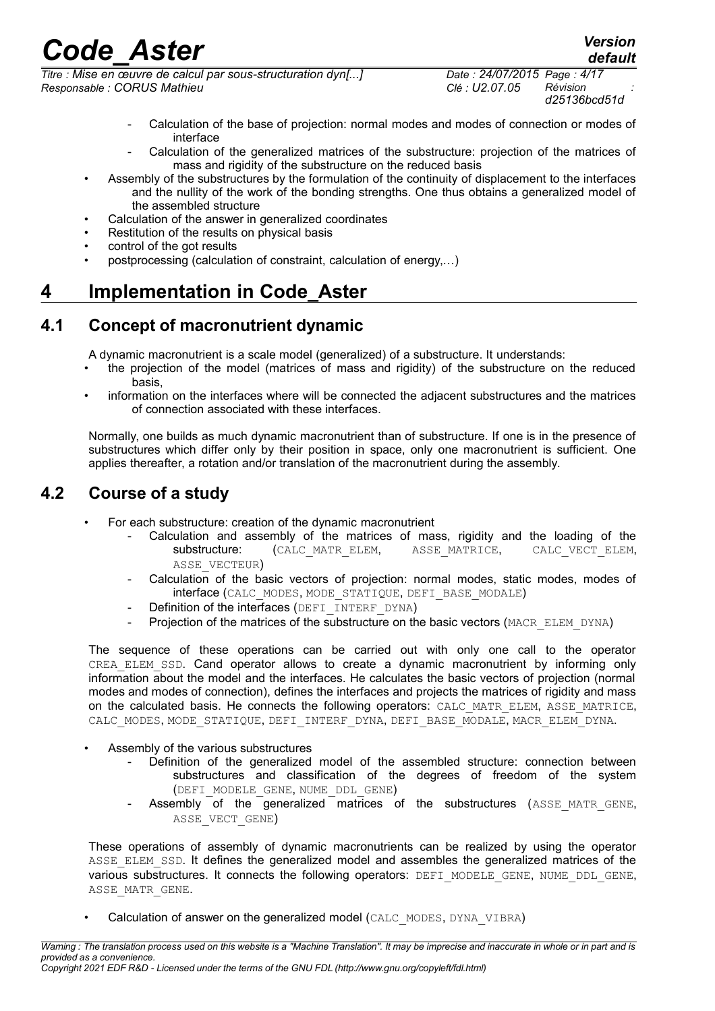*Titre : Mise en œuvre de calcul par sous-structuration dyn[...] Date : 24/07/2015 Page : 4/17 Responsable : CORUS Mathieu Clé : U2.07.05 Révision :*

*d25136bcd51d*

- Calculation of the base of projection: normal modes and modes of connection or modes of interface
- Calculation of the generalized matrices of the substructure: projection of the matrices of mass and rigidity of the substructure on the reduced basis
- Assembly of the substructures by the formulation of the continuity of displacement to the interfaces and the nullity of the work of the bonding strengths. One thus obtains a generalized model of the assembled structure
- Calculation of the answer in generalized coordinates
- Restitution of the results on physical basis
- control of the got results
- postprocessing (calculation of constraint, calculation of energy,…)

#### **4 Implementation in Code\_Aster**

#### **4.1 Concept of macronutrient dynamic**

A dynamic macronutrient is a scale model (generalized) of a substructure. It understands:

- the projection of the model (matrices of mass and rigidity) of the substructure on the reduced basis,
- information on the interfaces where will be connected the adjacent substructures and the matrices of connection associated with these interfaces.

Normally, one builds as much dynamic macronutrient than of substructure. If one is in the presence of substructures which differ only by their position in space, only one macronutrient is sufficient. One applies thereafter, a rotation and/or translation of the macronutrient during the assembly.

#### **4.2 Course of a study**

- For each substructure: creation of the dynamic macronutrient
	- Calculation and assembly of the matrices of mass, rigidity and the loading of the substructure: (CALC MATR ELEM, ASSE MATRICE, CALC VECT ELEM. substructure: (CALC\_MATR\_ELEM, ASSE\_MATRICE, CALC\_VECT\_ELEM, ASSE\_VECTEUR)
	- Calculation of the basic vectors of projection: normal modes, static modes, modes of interface (CALC\_MODES, MODE\_STATIQUE, DEFI\_BASE\_MODALE)
	- Definition of the interfaces (DEFI\_INTERF\_DYNA)
	- Projection of the matrices of the substructure on the basic vectors (MACR\_ELEM\_DYNA)

The sequence of these operations can be carried out with only one call to the operator CREA ELEM SSD. Cand operator allows to create a dynamic macronutrient by informing only information about the model and the interfaces. He calculates the basic vectors of projection (normal modes and modes of connection), defines the interfaces and projects the matrices of rigidity and mass on the calculated basis. He connects the following operators: CALC\_MATR\_ELEM, ASSE\_MATRICE, CALC\_MODES, MODE\_STATIQUE, DEFI\_INTERF\_DYNA, DEFI\_BASE\_MODALE, MACR\_ELEM\_DYNA.

- Assembly of the various substructures
	- Definition of the generalized model of the assembled structure: connection between substructures and classification of the degrees of freedom of the system (DEFI\_MODELE\_GENE, NUME\_DDL\_GENE)
	- Assembly of the generalized matrices of the substructures (ASSE MATR GENE, ASSE VECT GENE)

These operations of assembly of dynamic macronutrients can be realized by using the operator ASSE\_ELEM\_SSD. It defines the generalized model and assembles the generalized matrices of the various substructures. It connects the following operators: DEFI\_MODELE\_GENE, NUME\_DDL\_GENE, ASSE\_MATR\_GENE.

Calculation of answer on the generalized model (CALC\_MODES, DYNA\_VIBRA)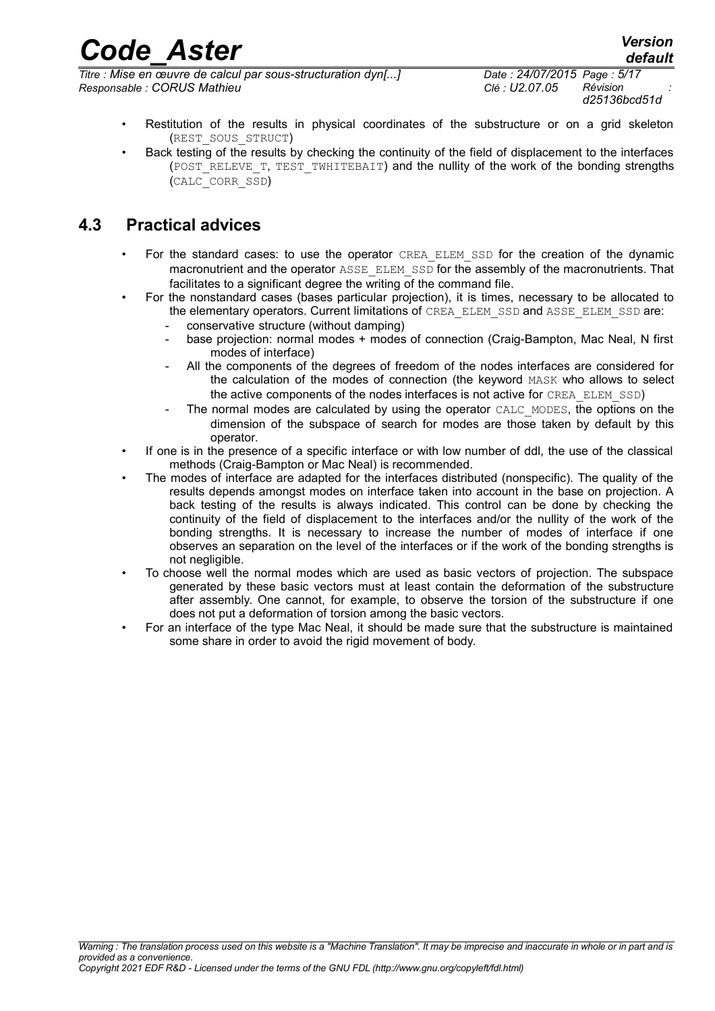*Titre : Mise en œuvre de calcul par sous-structuration dyn[...] Date : 24/07/2015 Page : 5/17 Responsable : CORUS Mathieu Clé : U2.07.05 Révision :*

*d25136bcd51d*

*default*

- Restitution of the results in physical coordinates of the substructure or on a grid skeleton (REST\_SOUS\_STRUCT)
- Back testing of the results by checking the continuity of the field of displacement to the interfaces (POST\_RELEVE\_T, TEST\_TWHITEBAIT) and the nullity of the work of the bonding strengths (CALC\_CORR\_SSD)

#### **4.3 Practical advices**

- For the standard cases: to use the operator CREA\_ELEM\_SSD for the creation of the dynamic macronutrient and the operator ASSE\_ELEM\_SSD for the assembly of the macronutrients. That facilitates to a significant degree the writing of the command file.
- For the nonstandard cases (bases particular projection), it is times, necessary to be allocated to
	- the elementary operators. Current limitations of CREA\_ELEM\_SSD and ASSE\_ELEM\_SSD are:
		- conservative structure (without damping)
		- base projection: normal modes + modes of connection (Craig-Bampton, Mac Neal, N first modes of interface)
			- All the components of the degrees of freedom of the nodes interfaces are considered for the calculation of the modes of connection (the keyword MASK who allows to select the active components of the nodes interfaces is not active for CREA\_ELEM\_SSD)
		- The normal modes are calculated by using the operator CALC\_MODES, the options on the dimension of the subspace of search for modes are those taken by default by this operator.
- If one is in the presence of a specific interface or with low number of ddl, the use of the classical methods (Craig-Bampton or Mac Neal) is recommended.
- The modes of interface are adapted for the interfaces distributed (nonspecific). The quality of the results depends amongst modes on interface taken into account in the base on projection. A back testing of the results is always indicated. This control can be done by checking the continuity of the field of displacement to the interfaces and/or the nullity of the work of the bonding strengths. It is necessary to increase the number of modes of interface if one observes an separation on the level of the interfaces or if the work of the bonding strengths is not negligible.
- To choose well the normal modes which are used as basic vectors of projection. The subspace generated by these basic vectors must at least contain the deformation of the substructure after assembly. One cannot, for example, to observe the torsion of the substructure if one does not put a deformation of torsion among the basic vectors.
- For an interface of the type Mac Neal, it should be made sure that the substructure is maintained some share in order to avoid the rigid movement of body.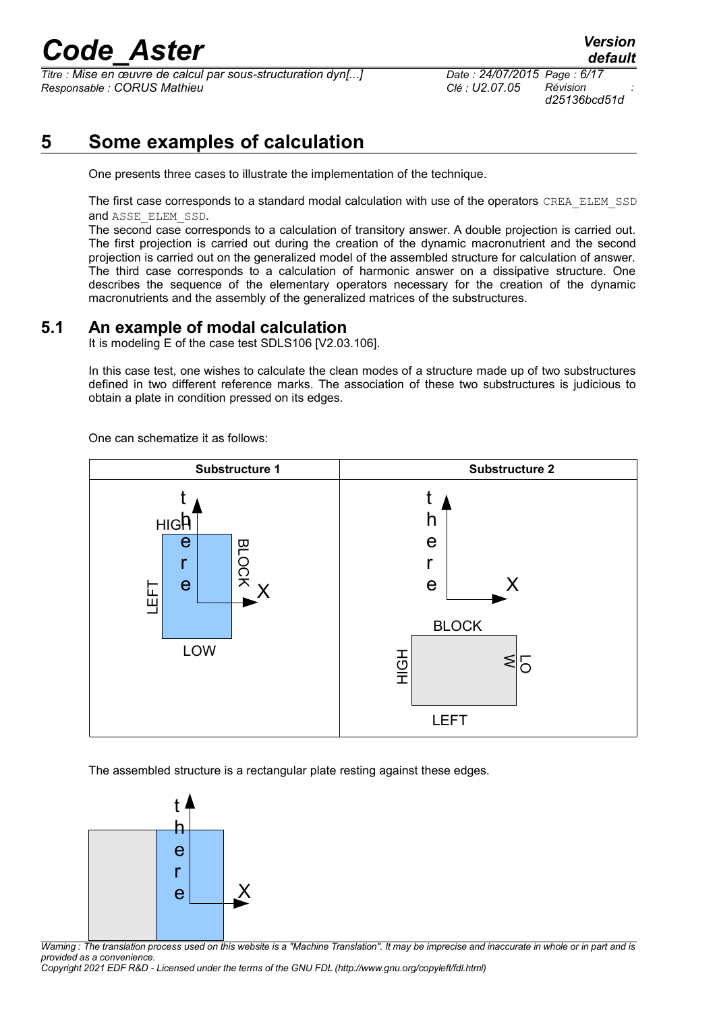*Titre : Mise en œuvre de calcul par sous-structuration dyn[...] Date : 24/07/2015 Page : 6/17 Responsable : CORUS Mathieu Clé : U2.07.05 Révision :*

#### **5 Some examples of calculation**

One presents three cases to illustrate the implementation of the technique.

The first case corresponds to a standard modal calculation with use of the operators CREA\_ELEM\_SSD and ASSE\_ELEM\_SSD.

The second case corresponds to a calculation of transitory answer. A double projection is carried out. The first projection is carried out during the creation of the dynamic macronutrient and the second projection is carried out on the generalized model of the assembled structure for calculation of answer. The third case corresponds to a calculation of harmonic answer on a dissipative structure. One describes the sequence of the elementary operators necessary for the creation of the dynamic macronutrients and the assembly of the generalized matrices of the substructures.

#### **5.1 An example of modal calculation**

It is modeling E of the case test SDLS106 [V2.03.106].

In this case test, one wishes to calculate the clean modes of a structure made up of two substructures defined in two different reference marks. The association of these two substructures is judicious to obtain a plate in condition pressed on its edges.

One can schematize it as follows:



The assembled structure is a rectangular plate resting against these edges.



*Warning : The translation process used on this website is a "Machine Translation". It may be imprecise and inaccurate in whole or in part and is provided as a convenience.*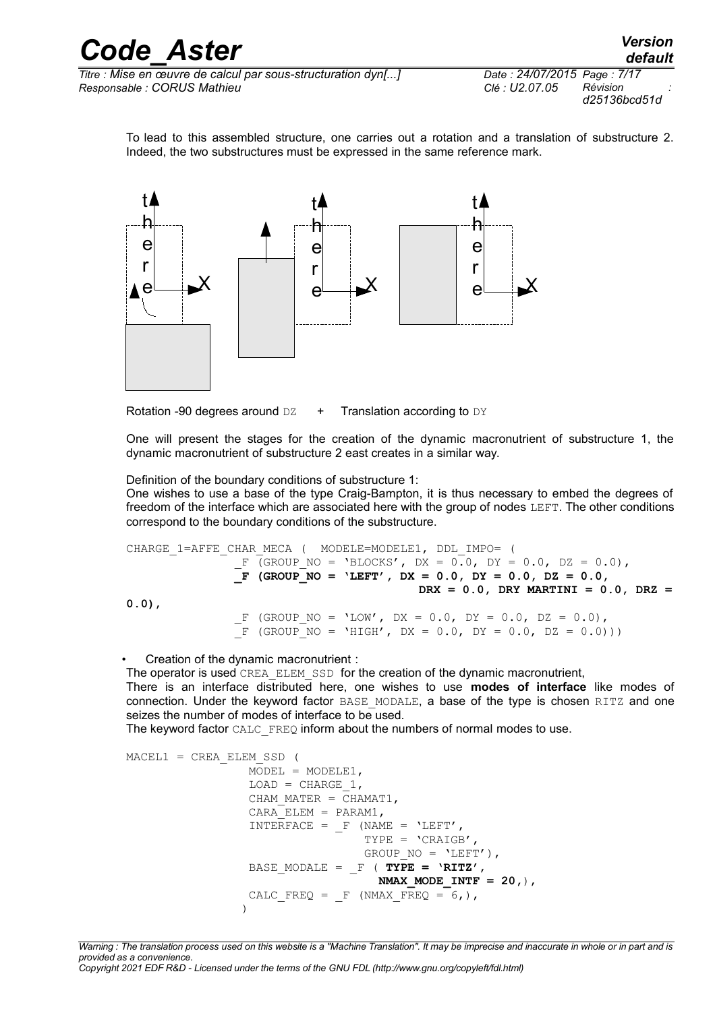*Titre : Mise en œuvre de calcul par sous-structuration dyn[...] Date : 24/07/2015 Page : 7/17 Responsable : CORUS Mathieu Clé : U2.07.05 Révision :*

*d25136bcd51d*

To lead to this assembled structure, one carries out a rotation and a translation of substructure 2. Indeed, the two substructures must be expressed in the same reference mark.



Rotation -90 degrees around  $DZ + T$ ranslation according to  $DY$ 

One will present the stages for the creation of the dynamic macronutrient of substructure 1, the dynamic macronutrient of substructure 2 east creates in a similar way.

Definition of the boundary conditions of substructure 1:

One wishes to use a base of the type Craig-Bampton, it is thus necessary to embed the degrees of freedom of the interface which are associated here with the group of nodes LEFT. The other conditions correspond to the boundary conditions of the substructure.

```
CHARGE_1=AFFE_CHAR_MECA ( MODELE=MODELE1, DDL_IMPO= (
               F (GROUP NO = 'BLOCKS', DX = 0.0, DY = 0.0, DZ = 0.0),
                _F (GROUP_NO = 'LEFT', DX = 0.0, DY = 0.0, DZ = 0.0,
                                          DRX = 0.0, DRY MARTINI = 0.0, DRZ =
0.0),
                F (GROUP NO = 'LOW', DX = 0.0, DY = 0.0, DZ = 0.0),
               \bar{F} (group no = 'high', dx = 0.0, dy = 0.0, dz = 0.0)))
```
• Creation of the dynamic macronutrient :

The operator is used CREA\_ELEM\_SSD for the creation of the dynamic macronutrient,

There is an interface distributed here, one wishes to use **modes of interface** like modes of connection. Under the keyword factor BASE\_MODALE, a base of the type is chosen RITZ and one seizes the number of modes of interface to be used.

The keyword factor CALC\_FREQ inform about the numbers of normal modes to use.

```
MACEL1 = CREA ELEM SSD (
                MODEL = MODELE1,LOAD = CHARGE 1,CHAM MATER = CHAMAT1,
                CARA ELEM = PARAM1,
                INTERFACE = F (NAME = 'LEFT',
                                TYPE = 'CRAIGB',
                                GROUP NO = 'LEFT'),
                BASE MODALE = F ( TYPE = 'RITZ',
                                  NMAX_MODE_INTF = 20,),
                CALC FREQ = F (NMAX FREQ = 6,),
 )
```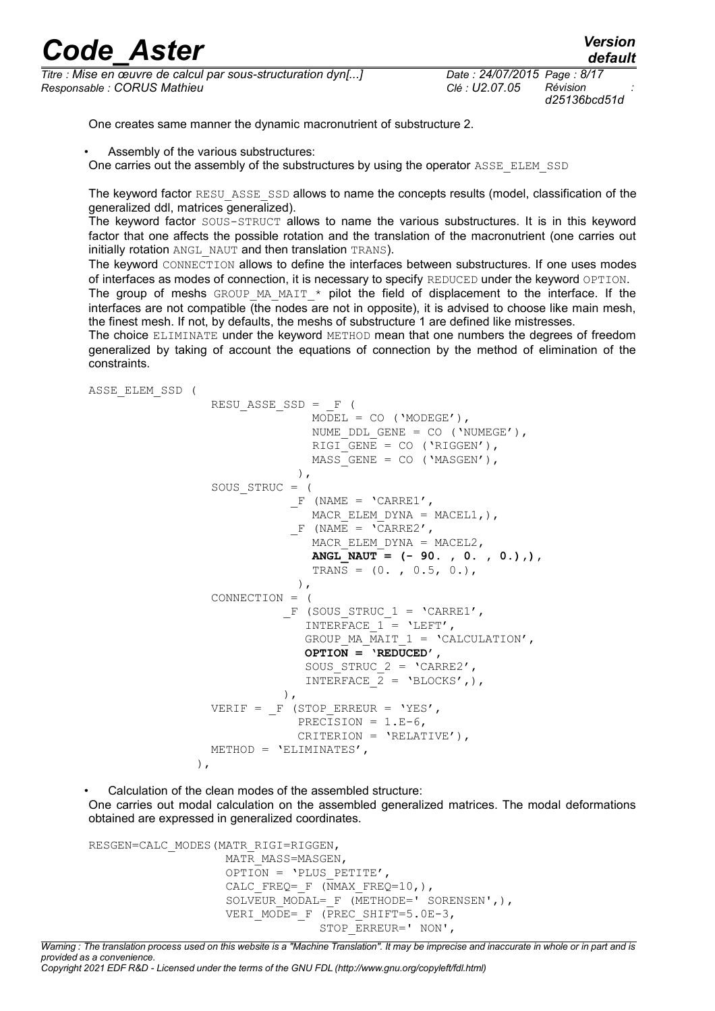*Titre : Mise en œuvre de calcul par sous-structuration dyn[...] Date : 24/07/2015 Page : 8/17 Responsable : CORUS Mathieu Clé : U2.07.05 Révision :*

*d25136bcd51d*

One creates same manner the dynamic macronutrient of substructure 2.

- Assembly of the various substructures:
- One carries out the assembly of the substructures by using the operator ASSE\_ELEM\_SSD

The keyword factor RESU ASSE SSD allows to name the concepts results (model, classification of the generalized ddl, matrices generalized).

The keyword factor SOUS-STRUCT allows to name the various substructures. It is in this keyword factor that one affects the possible rotation and the translation of the macronutrient (one carries out initially rotation ANGL\_NAUT and then translation TRANS).

The keyword CONNECTION allows to define the interfaces between substructures. If one uses modes of interfaces as modes of connection, it is necessary to specify REDUCED under the keyword OPTION.

The group of meshs GROUP MA\_MAIT  $*$  pilot the field of displacement to the interface. If the interfaces are not compatible  $\overline{I}$  (the nodes are not in opposite), it is advised to choose like main mesh, the finest mesh. If not, by defaults, the meshs of substructure 1 are defined like mistresses.

The choice ELIMINATE under the keyword METHOD mean that one numbers the degrees of freedom generalized by taking of account the equations of connection by the method of elimination of the constraints.

ASSE\_ELEM\_SSD (

RESUASSE SSD =  $F$  (  $MODEL = CO (YMODEGE')$ , NUME DDL GENE =  $CO$  ('NUMEGE'), RIGI GENE = CO ('RIGGEN'),  $MASS$  GENE = CO ('MASGEN'),  $\left( \begin{array}{c} 0 \\ 0 \end{array} \right)$ , SOUS\_STRUC = (  $F$  (NAME = 'CARRE1', MACR ELEM DYNA = MACEL1, ),  $F$  (NAME = 'CARRE2', MACR ELEM DYNA = MACEL2, **ANGL\_NAUT = (- 90. , 0. , 0.),),** TRANS =  $(0, 0.5, 0.)$ ,  $\left( \begin{array}{c} 1 \end{array} \right)$ , CONNECTION = (  $F$  (SOUS STRUC 1 = 'CARRE1', INTERFACE  $1 =$  'LEFT', GROUP MA MAIT  $1 = 'CALCULATION'$ ,  $\overline{OPTION} = \overline{VREDUCED}$ , SOUS STRUC  $2 = 'CARRE2',$ INTERFACE  $2 = 'BLOCKS',$ ),  $\,$ ),  $\,$ VERIF =  $_F$  (STOP ERREUR = 'YES', PRECISION =  $1.E-6$ , CRITERION = 'RELATIVE'), METHOD = 'ELIMINATES',  $\,$  ),  $\,$ 

Calculation of the clean modes of the assembled structure: One carries out modal calculation on the assembled generalized matrices. The modal deformations obtained are expressed in generalized coordinates.

```
RESGEN=CALC_MODES(MATR_RIGI=RIGGEN,
                   MATR_MASS=MASGEN,
                   OPTION = 'PLUS PETITE',
                   CALC FREQ= F (NMAX FREQ=10,),
                   SOLVEUR MODAL= F (METHODE=' SORENSEN',),
                   VERI MODE= F (PREC SHIFT=5.0E-3,
                                 STOP_ERREUR=' NON',
```
*Warning : The translation process used on this website is a "Machine Translation". It may be imprecise and inaccurate in whole or in part and is provided as a convenience. Copyright 2021 EDF R&D - Licensed under the terms of the GNU FDL (http://www.gnu.org/copyleft/fdl.html)*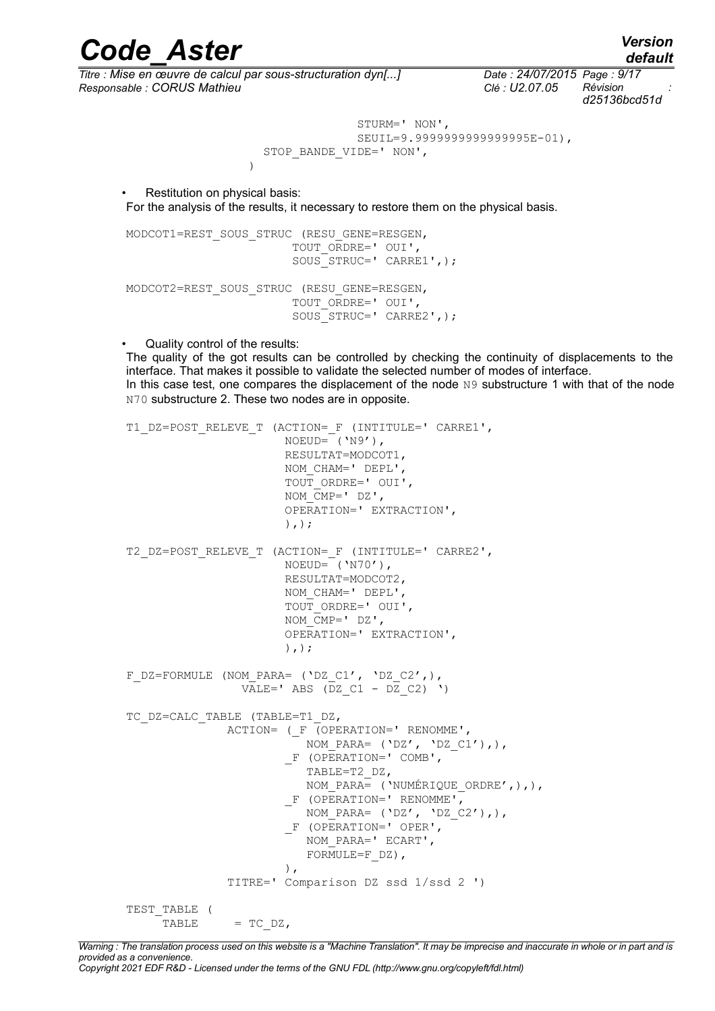*Titre : Mise en œuvre de calcul par sous-structuration dyn[...] Date : 24/07/2015 Page : 9/17 Responsable : CORUS Mathieu Clé : U2.07.05 Révision :*

*d25136bcd51d*

 STURM=' NON', SEUIL=9.9999999999999995E-01), STOP\_BANDE\_VIDE=' NON',

Restitution on physical basis: For the analysis of the results, it necessary to restore them on the physical basis.

MODCOT1=REST\_SOUS\_STRUC (RESU\_GENE=RESGEN, TOUT ORDRE=' OUI', SOUS\_STRUC=' CARRE1',); MODCOT2=REST\_SOUS\_STRUC (RESU\_GENE=RESGEN, TOUT\_ORDRE=' OUI', SOUS STRUC=' CARRE2',);

• Quality control of the results:

)

The quality of the got results can be controlled by checking the continuity of displacements to the interface. That makes it possible to validate the selected number of modes of interface. In this case test, one compares the displacement of the node  $N9$  substructure 1 with that of the node N70 substructure 2. These two nodes are in opposite.

```
T1_DZ=POST_RELEVE_T (ACTION=_F (INTITULE=' CARRE1',
                       NOEUD=('N9'),
                        RESULTAT=MODCOT1, 
                        NOM_CHAM=' DEPL', 
                        TOUT_ORDRE=' OUI', 
                       NOM CMP=' DZ',
                        OPERATION=' EXTRACTION', 
                       ), );
T2_DZ=POST_RELEVE_T (ACTION=_F (INTITULE=' CARRE2',
                        NOEUD= ('N70'), 
                        RESULTAT=MODCOT2, 
                        NOM_CHAM=' DEPL', 
                        TOUT_ORDRE=' OUI', 
                        NOM_CMP=' DZ', 
                        OPERATION=' EXTRACTION', 
                        ),); 
F_DZ=FORMULE (NOM_PARA= ('DZ_C1', 'DZ_C2',),
                 VALE=' ABS (DZ C1 - DZ C2) ')
TC_DZ=CALC_TABLE (TABLE=T1_DZ,
               ACTION= (F \cap (OPERATION= V \cap RENDMME'),
                          NOM PARA= ('DZ', 'DZ C1'), _F (OPERATION=' COMB', 
                           TABLE=T2_DZ, 
                          NOM PARA= ('NUMÉRIQUE ORDRE',),),
                        F (OPERATION=' RENOMME',
                         NOM PARA= ('DZ', 'DZ C2')),
                         _F (OPERATION=' OPER', 
                           NOM_PARA=' ECART', 
                           FORMULE=F DZ),
), \overline{\phantom{a}} TITRE=' Comparison DZ ssd 1/ssd 2 ') 
TEST_TABLE ( 
     TABLE = TC DZ,
```
*Warning : The translation process used on this website is a "Machine Translation". It may be imprecise and inaccurate in whole or in part and is provided as a convenience.*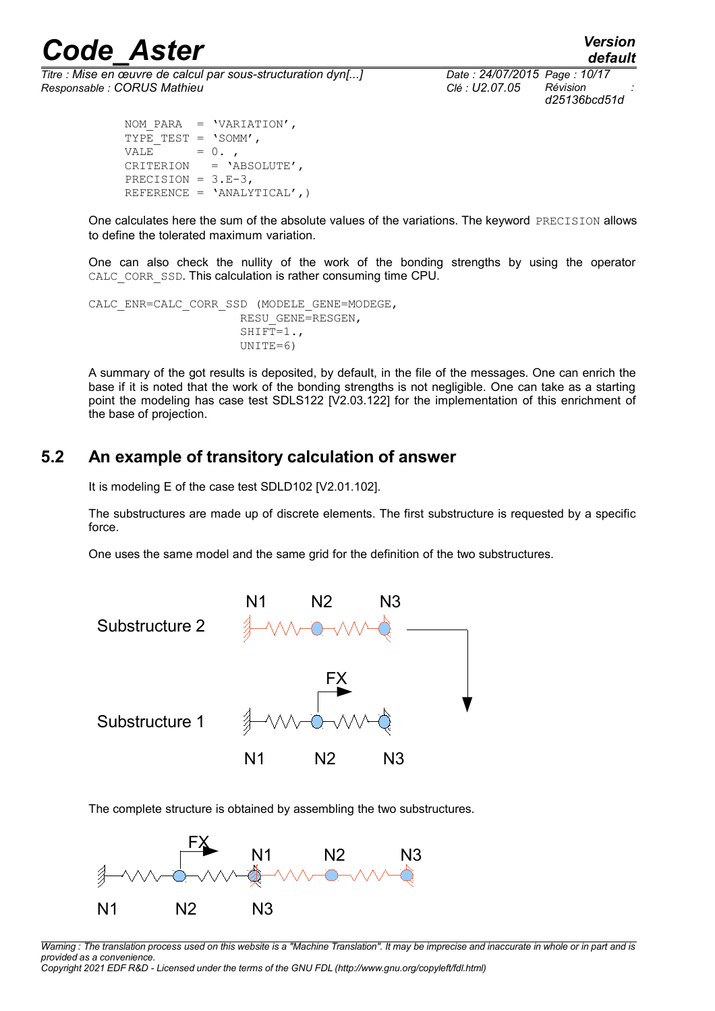*Titre : Mise en œuvre de calcul par sous-structuration dyn[...] Date : 24/07/2015 Page : 10/17 Responsable : CORUS Mathieu Clé : U2.07.05 Révision :*

*default d25136bcd51d*

 NOM\_PARA = 'VARIATION', TYPE TEST =  $'SOMM'$ ,  $VALE$  = 0., CRITERION = 'ABSOLUTE', PRECISION =  $3.E-3$ , REFERENCE = 'ANALYTICAL',)

One calculates here the sum of the absolute values of the variations. The keyword PRECISION allows to define the tolerated maximum variation.

One can also check the nullity of the work of the bonding strengths by using the operator CALC CORR SSD. This calculation is rather consuming time CPU.

CALC\_ENR=CALC\_CORR\_SSD (MODELE\_GENE=MODEGE, RESU\_GENE=RESGEN, SHIFT= $1.$ UNITE=6)

A summary of the got results is deposited, by default, in the file of the messages. One can enrich the base if it is noted that the work of the bonding strengths is not negligible. One can take as a starting point the modeling has case test SDLS122 [V2.03.122] for the implementation of this enrichment of the base of projection.

#### **5.2 An example of transitory calculation of answer**

It is modeling E of the case test SDLD102 [V2.01.102].

The substructures are made up of discrete elements. The first substructure is requested by a specific force.

One uses the same model and the same grid for the definition of the two substructures.



The complete structure is obtained by assembling the two substructures.



*Warning : The translation process used on this website is a "Machine Translation". It may be imprecise and inaccurate in whole or in part and is provided as a convenience.*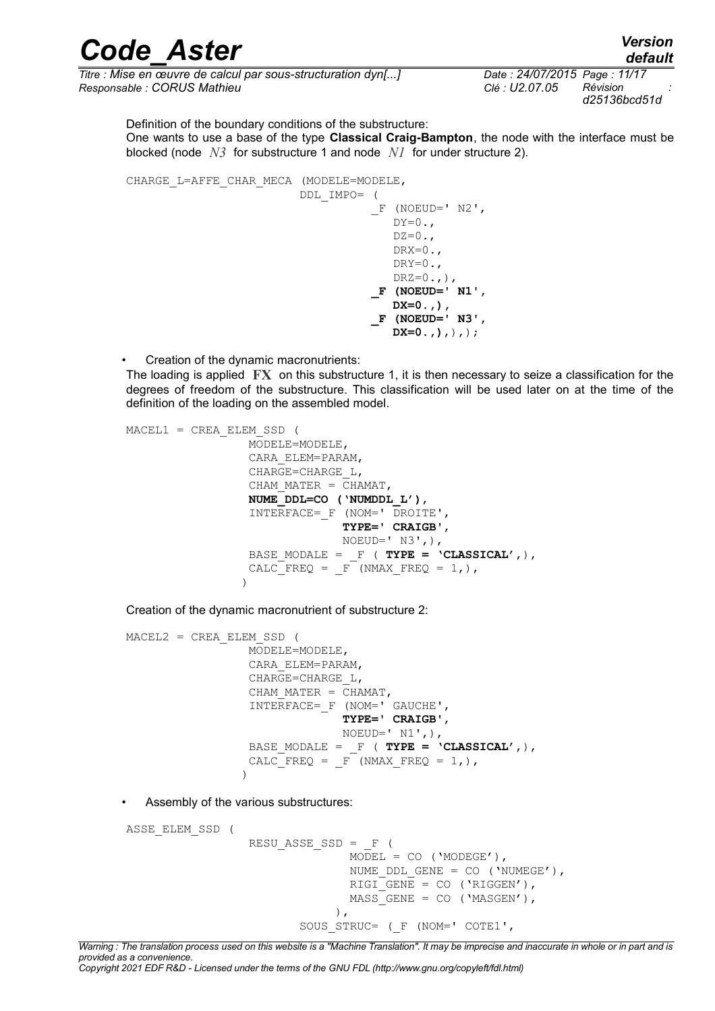*Titre : Mise en œuvre de calcul par sous-structuration dyn[...] Date : 24/07/2015 Page : 11/17 Responsable : CORUS Mathieu Clé : U2.07.05 Révision :*

*d25136bcd51d*

Definition of the boundary conditions of the substructure:

One wants to use a base of the type **Classical Craig-Bampton**, the node with the interface must be blocked (node *N3* for substructure 1 and node *N1* for under structure 2).

```
CHARGE_L=AFFE_CHAR_MECA (MODELE=MODELE,
                          DDL_IMPO= (
                                   F (NOEUD=' N2',
                                      DY=0.DZ=0.DRX=0.DRY=0.DRZ=0., ),
                                    _F (NOEUD=' N1',
                                      DX=0.,),
                                    _F (NOEUD=' N3',
                                       DX=0.,),),);
```
• Creation of the dynamic macronutrients:

The loading is applied **FX** on this substructure 1, it is then necessary to seize a classification for the degrees of freedom of the substructure. This classification will be used later on at the time of the definition of the loading on the assembled model.

```
MACEL1 = CREA_ELEM_SSD ( 
                  MODELE=MODELE, 
                  CARA_ELEM=PARAM, 
                  CHARGE=CHARGE_L, 
                 CHAM MATER = CHAMAT,
                  NUME_DDL=CO ('NUMDDL_L'), 
                  INTERFACE=_F (NOM=' DROITE', 
                               TYPE=' CRAIGB', 
                              NOEUD=' N3',),
                 BASE MODALE = F ( TYPE = 'CLASSICAL',),
                 CALC FREQ = F (NMAX FREQ = 1,),
 )
```
Creation of the dynamic macronutrient of substructure 2:

```
MACEL2 = CREA_ELEM_SSD ( 
                MODELE=MODELE, 
                CARA_ELEM=PARAM, 
                CHARGE=CHARGE_L, 
               CHAM MATER = \overline{CHAMAT},
                INTERFACE=_F (NOM=' GAUCHE', 
                            TYPE=' CRAIGB', 
                           NOEUD=' N1',),
 BASE_MODALE = _F ( TYPE = 'CLASSICAL',), 
CALC FREQ = F (NMAX FREQ = 1,),
 )
```
• Assembly of the various substructures:

ASSE\_ELEM\_SSD (

```
RESUASSE SSD = F (
                                                   MODEL = CO (YMODEGE'),NUME DDL GENE = CO ('NUMEGE'),
                                                   RIGI GENE = CO ('RIGGEN'),
                                                  MASS<sup>-</sup>GENE = CO (YMASGEN'),
\,, \,, \,, \,, \,, \,, \,, \,, \,, \,, \,, \,, \,, \,, \,, \,, \,, \,, \,, \,, \,, \,, \,, \,, \,, \,, \,, \,, \,, \,, \,, \,, \,, \,, \,, \,, \,,
                                       SOUS STRUC= ( F (NOM=' COTE1',
```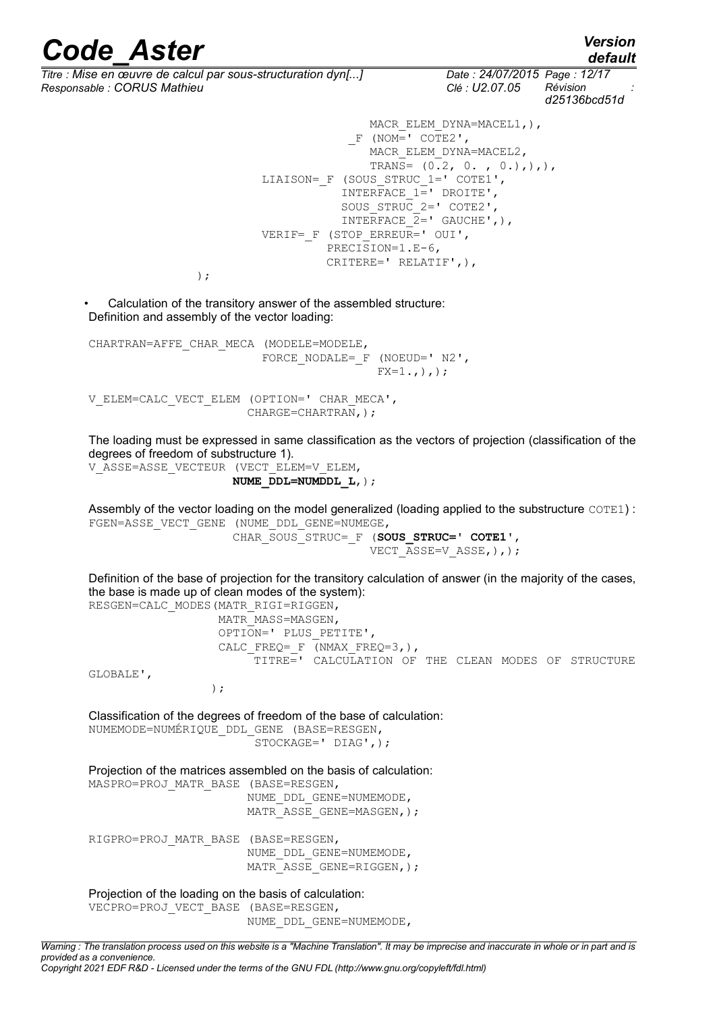)  $\mathcal{F}$ 

*default*

*Titre : Mise en œuvre de calcul par sous-structuration dyn[...] Date : 24/07/2015 Page : 12/17 Responsable : CORUS Mathieu Clé : U2.07.05 Révision :*

*d25136bcd51d*

```
MACR_ELEM_DYNA=MACEL1,),
             F (NOM=' COTE2',
               MACR_ELEM_DYNA=MACEL2,
               TRANS= (0.2, 0, 0, 0, ...)LIAISON= F (SOUS STRUC 1=' COTE1',
           INTERFACE 1= DROITE',
           SOUS STRUC 2=' COTE2',
           INTERFACE 2= GAUCHE',),
VERIF= F (STOP ERREUR=' OUI',
          PRECISION=1.E-6, 
          CRITERE=' RELATIF',),
```
• Calculation of the transitory answer of the assembled structure: Definition and assembly of the vector loading:

CHARTRAN=AFFE\_CHAR\_MECA (MODELE=MODELE, FORCE NODALE= $_F$  (NOEUD=' N2',  $FX=1.$ , ), ); V\_ELEM=CALC\_VECT\_ELEM (OPTION=' CHAR\_MECA',

CHARGE=CHARTRAN,);

The loading must be expressed in same classification as the vectors of projection (classification of the degrees of freedom of substructure 1).

V\_ASSE=ASSE\_VECTEUR (VECT\_ELEM=V\_ELEM, **NUME\_DDL=NUMDDL\_L**,);

Assembly of the vector loading on the model generalized (loading applied to the substructure COTE1) : FGEN=ASSE\_VECT\_GENE (NUME\_DDL\_GENE=NUMEGE,

> CHAR\_SOUS\_STRUC=\_F (**SOUS\_STRUC=' COTE1'**, VECT ASSE=V ASSE, ), ) ;

Definition of the base of projection for the transitory calculation of answer (in the majority of the cases, the base is made up of clean modes of the system):

RESGEN=CALC\_MODES(MATR\_RIGI=RIGGEN, MATR\_MASS=MASGEN, OPTION=' PLUS\_PETITE', CALC\_FREQ=\_F (NMAX\_FREQ=3,), -<br>TITRE=' CALCULATION OF THE CLEAN MODES OF STRUCTURE GLOBALE', );

Classification of the degrees of freedom of the base of calculation:

NUMEMODE=NUMÉRIQUE\_DDL\_GENE (BASE=RESGEN, STOCKAGE=' DIAG',);

Projection of the matrices assembled on the basis of calculation:

MASPRO=PROJ\_MATR\_BASE (BASE=RESGEN, NUME\_DDL\_GENE=NUMEMODE,  $MATR$ <sup>-ASSE</sup> GENE=MASGEN, );

RIGPRO=PROJ\_MATR\_BASE (BASE=RESGEN, NUME\_DDL\_GENE=NUMEMODE, MATR ASSE GENE=RIGGEN, ) ;

#### Projection of the loading on the basis of calculation:

VECPRO=PROJ\_VECT\_BASE (BASE=RESGEN,

NUME\_DDL\_GENE=NUMEMODE,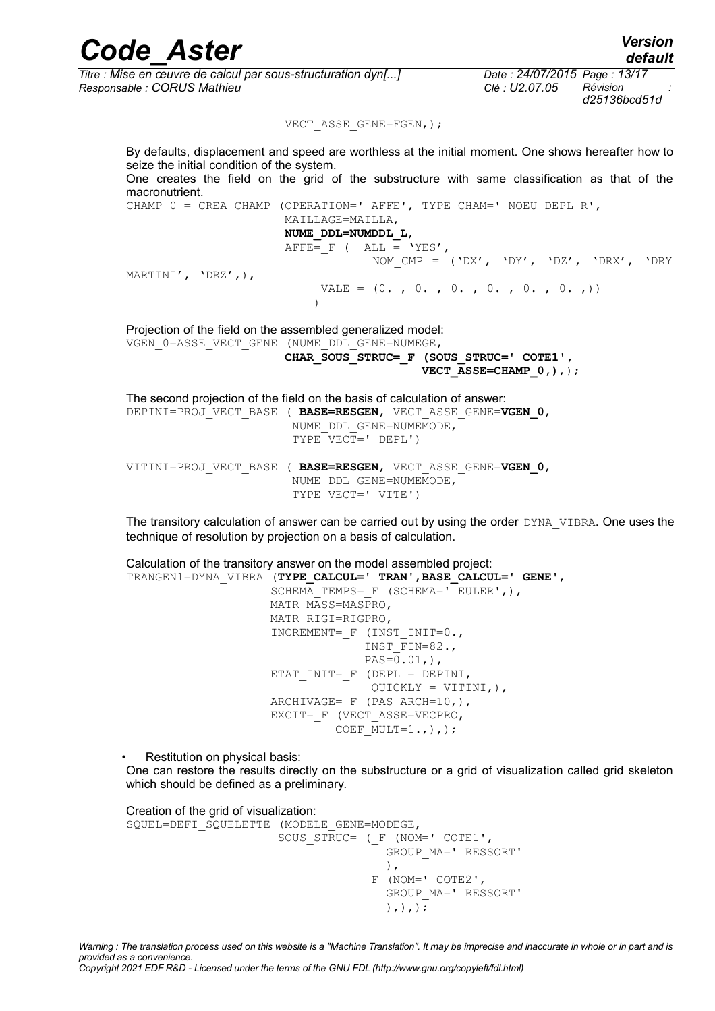| <b>Code Aster</b>                                                                                                                                       | <b>Version</b><br>default                                                  |  |
|---------------------------------------------------------------------------------------------------------------------------------------------------------|----------------------------------------------------------------------------|--|
| Titre : Mise en œuvre de calcul par sous-structuration dyn[]<br>Responsable : CORUS Mathieu                                                             | Date: 24/07/2015 Page: 13/17<br>Révision<br>Clé : U2.07.05<br>d25136bcd51d |  |
| VECT ASSE GENE=FGEN, ) ;                                                                                                                                |                                                                            |  |
| By defaults, displacement and speed are worthless at the initial moment. One shows hereafter how to<br>seize the initial condition of the system.       |                                                                            |  |
| One creates the field on the grid of the substructure with same classification as that of the<br>macronutrient.                                         |                                                                            |  |
| CHAMP $0 = CREA CHAMP (OPERATION=' AFFF', TYPE CHAM=' NOEU DEPL R',$<br>MAILLAGE=MAILLA,                                                                |                                                                            |  |
| NUME DDL=NUMDDL L,                                                                                                                                      |                                                                            |  |
| AFFE= $F$ ( ALL = 'YES',                                                                                                                                |                                                                            |  |
|                                                                                                                                                         | NOM CMP = $(\ 'DX', \ 'DY', \ 'DZ', \ 'DRX', \ 'DRY$                       |  |
| MARTINI', $'DRZ',$ ),                                                                                                                                   |                                                                            |  |
|                                                                                                                                                         | VALE = $(0. , 0. , 0. , 0. , 0. , 0. , 0. , 0.$                            |  |
| Projection of the field on the assembled generalized model:<br>VGEN 0=ASSE VECT GENE (NUME DDL GENE=NUMEGE,<br>CHAR SOUS STRUC= F (SOUS_STRUC=' COTE1', | VECT ASSE=CHAMP $0,$ ), $;$                                                |  |

The second projection of the field on the basis of calculation of answer: DEPINI=PROJ\_VECT\_BASE ( **BASE=RESGEN**, VECT\_ASSE\_GENE=**VGEN\_0**, NUME\_DDL\_GENE=NUMEMODE,  $TYPE$   $VECT=$   $DEPL$   $)$ VITINI=PROJ\_VECT\_BASE ( **BASE=RESGEN**, VECT\_ASSE\_GENE=**VGEN\_0**, NUME\_DDL\_GENE=NUMEMODE,  $TYPE$ <sup>-</sup> $VECF=' VITE')$ 

The transitory calculation of answer can be carried out by using the order DYNA\_VIBRA. One uses the technique of resolution by projection on a basis of calculation.

Calculation of the transitory answer on the model assembled project: TRANGEN1=DYNA\_VIBRA (**TYPE\_CALCUL=' TRAN'**,**BASE\_CALCUL=' GENE'**, SCHEMA TEMPS=  $F$  (SCHEMA=' EULER',), MATR\_MASS=MASPRO, MATR\_RIGI=RIGPRO, INCREMENT= F (INST INIT=0., INST\_FIN=82.,  $PAS=0.01,$ ),  $ETAT_INTT = F (DEPL = DEPINI,$  $QUICKLY = VITINI,$ ), ARCHIVAGE=  $F$  (PAS ARCH=10,), EXCIT=  $F$  (VECT ASSE=VECPRO, COEF  $MULT=1.,),$ ;

Restitution on physical basis:

One can restore the results directly on the substructure or a grid of visualization called grid skeleton which should be defined as a preliminary.

Creation of the grid of visualization: SQUEL=DEFI\_SQUELETTE (MODELE GENE=MODEGE, SOUS STRUC= ( F (NOM=' COTE1', GROUP\_MA=' RESSORT'  $\left( \begin{array}{c} 1 \end{array} \right)$ , F (NOM=' COTE2', GROUP\_MA=' RESSORT'  $),),$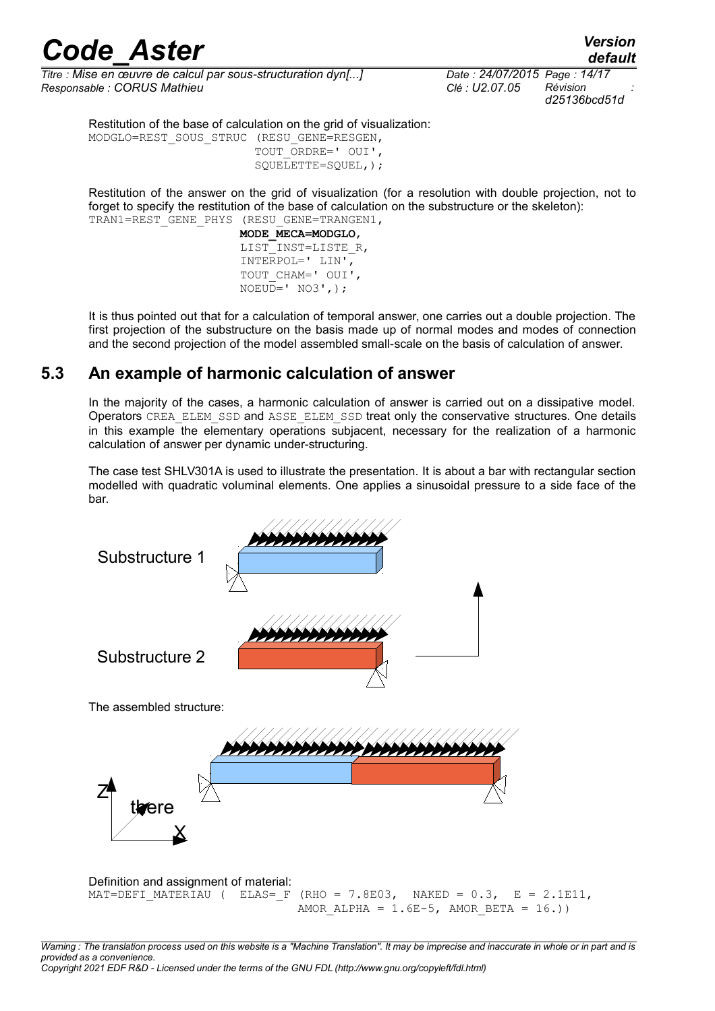## *Code* Aster<br>default<br>a : Mise en œuvre de calcul par sous-structuration dvn[...] Date : 24/07/2015 Page : 14/17

*Titre : Mise en œuvre de calcul par sous-structuration dyn[...] Date : 24/07/2015 Page : 14/17 Responsable : CORUS Mathieu Clé : U2.07.05 Révision :*

*d25136bcd51d*

Restitution of the base of calculation on the grid of visualization:

MODGLO=REST\_SOUS\_STRUC (RESU\_GENE=RESGEN, TOUT\_ORDRE=' OUI', SQUELETTE=SQUEL,);

Restitution of the answer on the grid of visualization (for a resolution with double projection, not to forget to specify the restitution of the base of calculation on the substructure or the skeleton): TRAN1=REST\_GENE\_PHYS (RESU\_GENE=TRANGEN1,

> **MODE\_MECA=MODGLO**, LIST\_INST=LISTE\_R, INTERPOL=' LIN', TOUT\_CHAM=' OUI',  $NOEUD=$ '  $NO3'$ , );

It is thus pointed out that for a calculation of temporal answer, one carries out a double projection. The first projection of the substructure on the basis made up of normal modes and modes of connection and the second projection of the model assembled small-scale on the basis of calculation of answer.

#### **5.3 An example of harmonic calculation of answer**

In the majority of the cases, a harmonic calculation of answer is carried out on a dissipative model. Operators CREA\_ELEM\_SSD and ASSE\_ELEM\_SSD treat only the conservative structures. One details in this example the elementary operations subjacent, necessary for the realization of a harmonic calculation of answer per dynamic under-structuring.

The case test SHLV301A is used to illustrate the presentation. It is about a bar with rectangular section modelled with quadratic voluminal elements. One applies a sinusoidal pressure to a side face of the bar.

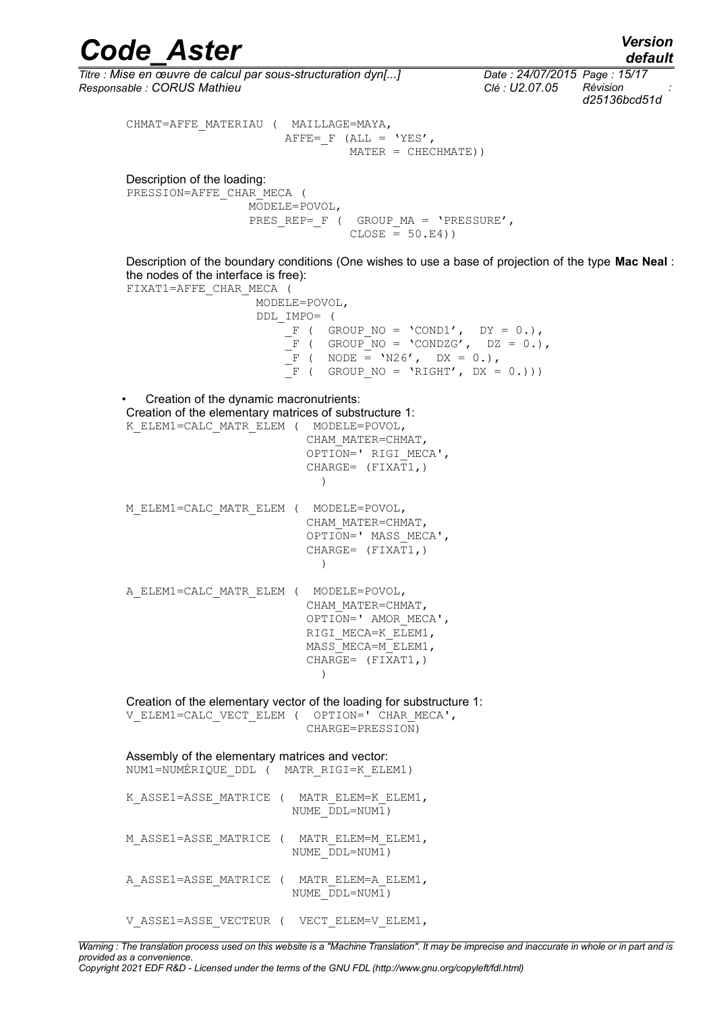### *default*

*d25136bcd51d*

*Code\_Aster Version Titre : Mise en œuvre de calcul par sous-structuration dyn[...] Date : 24/07/2015 Page : 15/17 Responsable : CORUS Mathieu Clé : U2.07.05 Révision :* CHMAT=AFFE\_MATERIAU ( MAILLAGE=MAYA, AFFE=  $F$  (ALL = 'YES', MATER = CHECHMATE)) Description of the loading: PRESSION=AFFE\_CHAR\_MECA ( MODELE=POVOL, PRES\_REP=\_F ( GROUP MA = 'PRESSURE',  $CLOSE = 50.E4)$ Description of the boundary conditions (One wishes to use a base of projection of the type **Mac Neal** : the nodes of the interface is free): FIXAT1=AFFE\_CHAR\_MECA ( MODELE=POVOL, DDL\_IMPO= (  $F$  ( GROUP\_NO = 'COND1', DY = 0.),  $\overline{F}$  ( GROUP\_NO = 'CONDZG', DZ = 0.),  $-F$  ( NODE = 'N26', DX = 0.),  $\overline{F}$  ( GROUP NO = 'RIGHT', DX = 0.))) • Creation of the dynamic macronutrients: Creation of the elementary matrices of substructure 1: K\_ELEM1=CALC\_MATR\_ELEM ( MODELE=POVOL, CHAM\_MATER=CHMAT, OPTION=' RIGI\_MECA',  $CHARGE=$   $(FIXAT1, )$  ) M\_ELEM1=CALC\_MATR\_ELEM ( MODELE=POVOL, CHAM\_MATER=CHMAT, OPTION=' MASS\_MECA',  $CHARGE= (FIXAT1, )$  ) A\_ELEM1=CALC\_MATR\_ELEM ( MODELE=POVOL, CHAM\_MATER=CHMAT, OPTION=' AMOR\_MECA', RIGI\_MECA=K\_ELEM1, MASS MECA=M ELEM1, CHARGE= (FIXAT1,) ) Creation of the elementary vector of the loading for substructure 1: V\_ELEM1=CALC\_VECT\_ELEM ( OPTION=' CHAR\_MECA', CHARGE=PRESSION)

Assembly of the elementary matrices and vector: NUM1=NUMÉRIQUE\_DDL ( MATR\_RIGI=K\_ELEM1)

- K\_ASSE1=ASSE\_MATRICE ( MATR\_ELEM=K\_ELEM1, NUME  $\overline{D}$ DL=NUM1)
- M\_ASSE1=ASSE\_MATRICE ( MATR\_ELEM=M\_ELEM1, NUME\_DDL=NUM1)
- A ASSE1=ASSE MATRICE ( MATR ELEM=A ELEM1, NUME\_DDL=NUM1)
- V\_ASSE1=ASSE\_VECTEUR ( VECT\_ELEM=V\_ELEM1,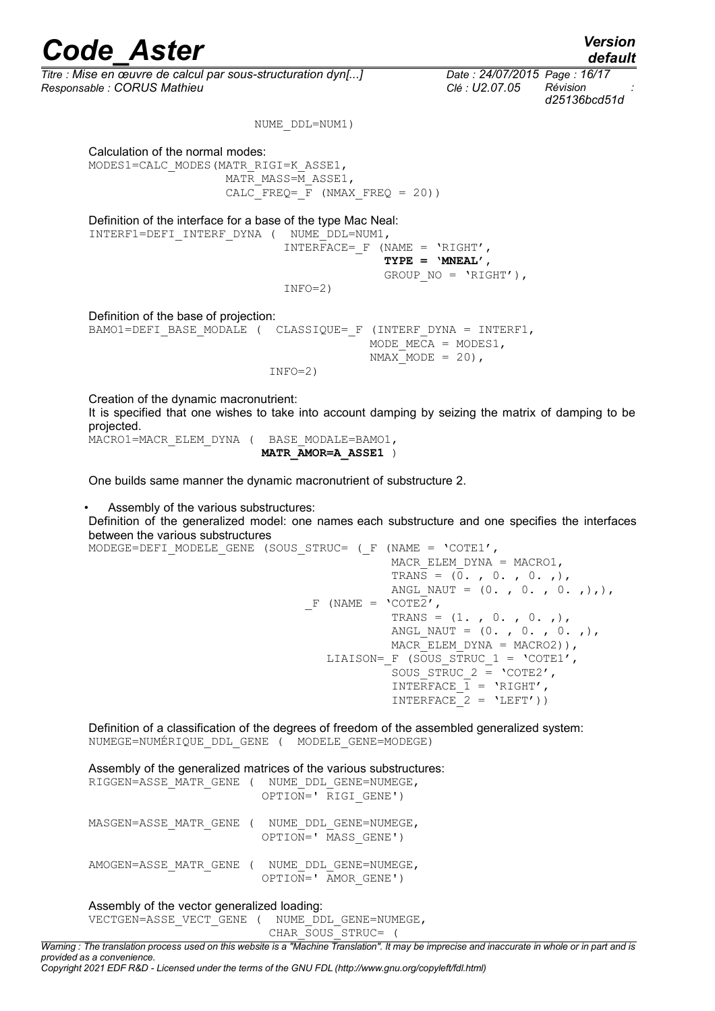*Titre : Mise en œuvre de calcul par sous-structuration dyn[...] Date : 24/07/2015 Page : 16/17 Responsable : CORUS Mathieu Clé : U2.07.05 Révision :* NUME\_DDL=NUM1) Calculation of the normal modes: MODES1=CALC\_MODES(MATR\_RIGI=K\_ASSE1, MATR\_MASS=M\_ASSE1,  $CALC$  FREQ =  $\overline{F}$  (NMAX FREQ = 20)) Definition of the interface for a base of the type Mac Neal: INTERF1=DEFI\_INTERF\_DYNA ( NUME\_DDL=NUM1,  $INTERFACE = F (NAME = 'RIGHT',$  **TYPE = 'MNEAL'**, GROUP NO = 'RIGHT'),  $INFO=2)$ Definition of the base of projection: BAMO1=DEFI\_BASE\_MODALE ( CLASSIQUE= F (INTERF DYNA = INTERF1, MODE MECA =  $MODES1$ , NMAX MODE =  $20$ ),  $INFO=2)$ Creation of the dynamic macronutrient:

It is specified that one wishes to take into account damping by seizing the matrix of damping to be projected.

MACRO1=MACR\_ELEM\_DYNA ( BASE\_MODALE=BAMO1,

**MATR\_AMOR=A\_ASSE1** )

One builds same manner the dynamic macronutrient of substructure 2.

• Assembly of the various substructures:

Definition of the generalized model: one names each substructure and one specifies the interfaces between the various substructures

MODEGE=DEFI\_MODELE\_GENE (SOUS\_STRUC= (\_F (NAME =  $'COTE1'$ , MACR\_ELEM\_DYNA = MACRO1, TRANS =  $(0, 0, 0, 0, 0, 0)$ ANGL NAUT =  $(0. , 0. , 0. , 0.$  $F$  (NAME =  $^{\circ}$ COTE $2'$ , TRANS =  $(1. , 0. , 0. , 0.$ ANGL NAUT =  $(0. , 0. , 0. , 0.$ MACR ELEM DYNA = MACRO2)), LIAISON=  $F$  (SOUS STRUC 1 = 'COTE1', SOUS STRUC 2 =  $\text{°COTE2'}$ , INTERFACE  $1 = 'RIGHT'$ ,  $INTERFACE<sup>-</sup>2 = 'LEFT')$ )

Definition of a classification of the degrees of freedom of the assembled generalized system: NUMEGE=NUMÉRIQUE\_DDL\_GENE ( MODELE\_GENE=MODEGE)

Assembly of the generalized matrices of the various substructures: RIGGEN=ASSE\_MATR\_GENE ( NUME DDL\_GENE=NUMEGE, OPTION='  $\overline{R}$ IGI GENE') MASGEN=ASSE\_MATR\_GENE ( NUME\_DDL\_GENE=NUMEGE, OPTION=' MASS\_GENE') AMOGEN=ASSE\_MATR\_GENE ( NUME DDL\_GENE=NUMEGE, OPTION=' AMOR\_GENE')

#### Assembly of the vector generalized loading:

VECTGEN=ASSE\_VECT\_GENE ( NUME\_DDL\_GENE=NUMEGE,

CHAR\_SOUS\_STRUC= (

*Warning : The translation process used on this website is a "Machine Translation". It may be imprecise and inaccurate in whole or in part and is provided as a convenience.*

*Copyright 2021 EDF R&D - Licensed under the terms of the GNU FDL (http://www.gnu.org/copyleft/fdl.html)*

*d25136bcd51d*